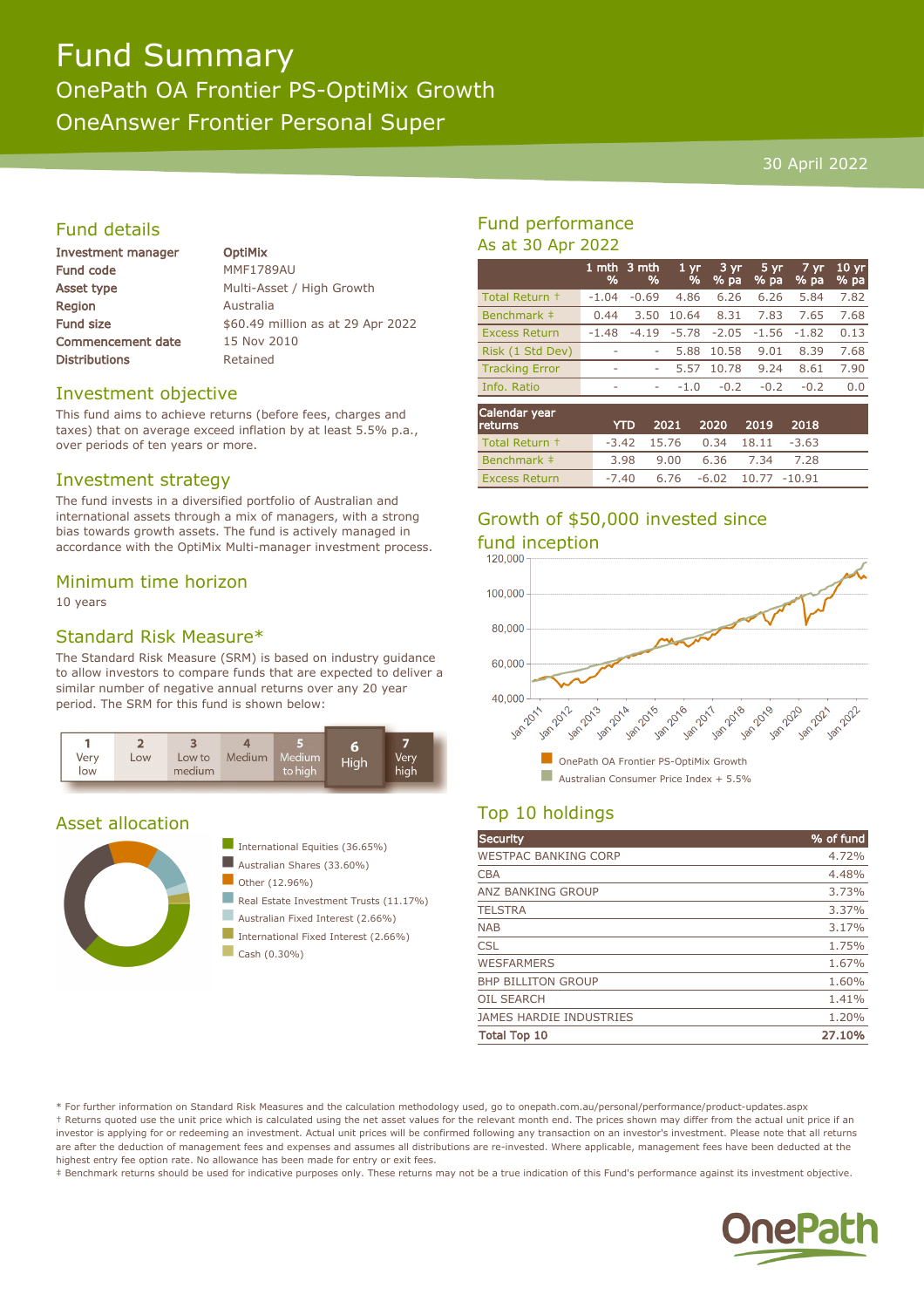## Fund Summary OnePath OA Frontier PS-OptiMix Growth OneAnswer Frontier Personal Super

#### 30 April 2022

#### Fund details

| Investment manager       | <b>OptiMix</b>                    |
|--------------------------|-----------------------------------|
| <b>Fund code</b>         | <b>MMF1789AU</b>                  |
| Asset type               | Multi-Asset / High Growth         |
| <b>Region</b>            | Australia                         |
| <b>Fund size</b>         | \$60.49 million as at 29 Apr 2022 |
| <b>Commencement date</b> | 15 Nov 2010                       |
| <b>Distributions</b>     | Retained                          |
|                          |                                   |

#### Investment objective

This fund aims to achieve returns (before fees, charges and taxes) that on average exceed inflation by at least 5.5% p.a., over periods of ten years or more.

#### Investment strategy

The fund invests in a diversified portfolio of Australian and international assets through a mix of managers, with a strong bias towards growth assets. The fund is actively managed in accordance with the OptiMix Multi-manager investment process.

#### Minimum time horizon

10 years

#### Standard Risk Measure\*

The Standard Risk Measure (SRM) is based on industry guidance to allow investors to compare funds that are expected to deliver a similar number of negative annual returns over any 20 year period. The SRM for this fund is shown below:



#### Asset allocation





- Australian Fixed Interest (2.66%)
- International Fixed Interest (2.66%)
- $\Box$  Cash (0.30%)

#### Fund performance As at 30 Apr 2022

|                                         | %       | 1 mth $3$ mth<br>% | 1 <sub>yr</sub><br>% | 3 yr<br>% pa | 5 yr<br>% pa | 7 yr.<br>% pa | 10 <sub>yr</sub><br>% pa |
|-----------------------------------------|---------|--------------------|----------------------|--------------|--------------|---------------|--------------------------|
| Total Return +                          | $-1.04$ | $-0.69$            | 4.86                 | 6.26         | 6.26         | 5.84          | 7.82                     |
| Benchmark ‡                             | 0.44    | 3.50               | 10.64                | 8.31         | 7.83         | 7.65          | 7.68                     |
| <b>Excess Return</b>                    | $-1.48$ | $-4.19$            | $-5.78$              | $-2.05$      | $-1.56$      | $-1.82$       | 0.13                     |
| Risk (1 Std Dev)                        | ۰       | ۰                  | 5.88                 | 10.58        | 9.01         | 8.39          | 7.68                     |
| <b>Tracking Error</b>                   | ۰       | ۰                  | 5.57                 | 10.78        | 9.24         | 8.61          | 7.90                     |
| Info. Ratio                             | ۰       | ۰                  | $-1.0$               | $-0.2$       | $-0.2$       | $-0.2$        | 0.0                      |
| Calendar year<br>and the company of the |         | 277                | 3034                 | $\sim$       | 2040         | 2040          |                          |

| <b>returns</b>       | <b>YTD</b> | 2021 2020 2019 2018                 |                |  |
|----------------------|------------|-------------------------------------|----------------|--|
| Total Return +       |            | $-3.42$ 15.76 0.34 18.11 $-3.63$    |                |  |
| Benchmark ‡          | 3.98       | 9.00                                | 6.36 7.34 7.28 |  |
| <b>Excess Return</b> |            | $-7.40$ 6.76 $-6.02$ 10.77 $-10.91$ |                |  |

# Growth of \$50,000 invested since



### Top 10 holdings

| <b>Security</b>                | % of fund |
|--------------------------------|-----------|
| <b>WESTPAC BANKING CORP</b>    | 4.72%     |
| <b>CBA</b>                     | 4.48%     |
| ANZ BANKING GROUP              | 3.73%     |
| <b>TELSTRA</b>                 | 3.37%     |
| <b>NAB</b>                     | 3.17%     |
| <b>CSL</b>                     | 1.75%     |
| <b>WESFARMERS</b>              | 1.67%     |
| <b>BHP BILLITON GROUP</b>      | 1.60%     |
| <b>OIL SEARCH</b>              | 1.41%     |
| <b>JAMES HARDIE INDUSTRIES</b> | 1.20%     |
| <b>Total Top 10</b>            | 27.10%    |

\* For further information on Standard Risk Measures and the calculation methodology used, go to onepath.com.au/personal/performance/product-updates.aspx † Returns quoted use the unit price which is calculated using the net asset values for the relevant month end. The prices shown may differ from the actual unit price if an investor is applying for or redeeming an investment. Actual unit prices will be confirmed following any transaction on an investor's investment. Please note that all returns are after the deduction of management fees and expenses and assumes all distributions are re-invested. Where applicable, management fees have been deducted at the highest entry fee option rate. No allowance has been made for entry or exit fees.

‡ Benchmark returns should be used for indicative purposes only. These returns may not be a true indication of this Fund's performance against its investment objective.